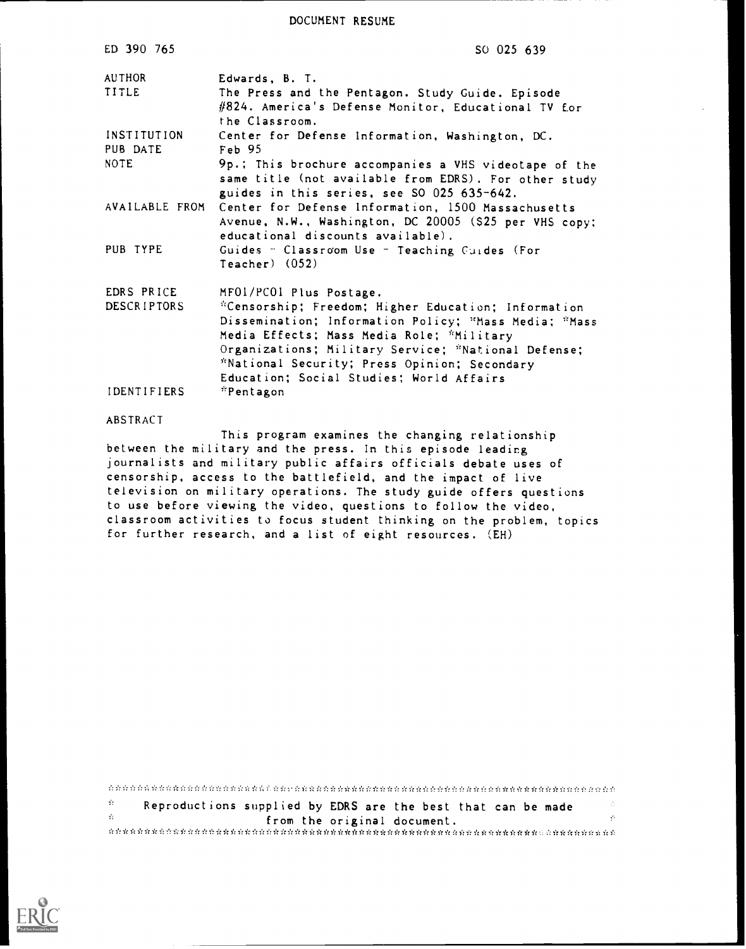DOCUMENT RESUME

| ED 390 765                       | SO 025 639                                                                                                                                                                                                                                                                                                                              |
|----------------------------------|-----------------------------------------------------------------------------------------------------------------------------------------------------------------------------------------------------------------------------------------------------------------------------------------------------------------------------------------|
| AUTHOR<br>TITLE                  | Edwards, B. T.<br>The Press and the Pentagon. Study Guide. Episode<br>#824. America's Defense Monitor, Educational TV for<br>the Classroom.                                                                                                                                                                                             |
| INSTITUTION<br>PUB DATE          | Center for Defense Information, Washington, DC.<br>Feb 95                                                                                                                                                                                                                                                                               |
| <b>NOTE</b>                      | 9p.; This brochure accompanies a VHS videotape of the<br>same title (not available from EDRS). For other study<br>guides in this series, see SO 025 635-642.                                                                                                                                                                            |
| AVAILABLE FROM                   | Center for Defense Information, 1500 Massachusetts<br>Avenue, N.W., Washington, DC 20005 (\$25 per VHS copy;<br>educational discounts available).                                                                                                                                                                                       |
| PUB TYPE                         | Guides - Classroom Use - Teaching Cuides (For<br>$Teacher)$ $(052)$                                                                                                                                                                                                                                                                     |
| EDRS PRICE<br><b>DESCRIPTORS</b> | MFOI/PCOI Plus Postage.<br>*Censorship; Freedom; Higher Education; Information<br>Dissemination; Information Policy; "Mass Media; "Mass<br>Media Effects; Mass Media Role; *Military<br>Organizations; Military Service; "National Defense;<br>*National Security; Press Opinion; Secondary<br>Education; Social Studies; World Affairs |
| <b>IDENTIFIERS</b>               | *Pentagon                                                                                                                                                                                                                                                                                                                               |
| ABSTRACT                         |                                                                                                                                                                                                                                                                                                                                         |

This program examines the changing relationship between the military and the press. In this episode leading journalists and military public affairs officials debate uses of censorship, access to the battlefield, and the impact of live television on military operations. The study guide offers questions to use before viewing the video, questions to follow the video, classroom activities to focus student thinking on the problem, topics for further research, and a list of eight resources. (EH)

 $\mathcal{G}_{\mathcal{K}}$ Reproductions supplied by EDRS are the best that can be made  $\mathcal{G}^{\mathcal{G}}$ from the original document. .r\*\*\*.;':\*\*\*\*\*\*\*... .fr\*\*\*\*\*\*

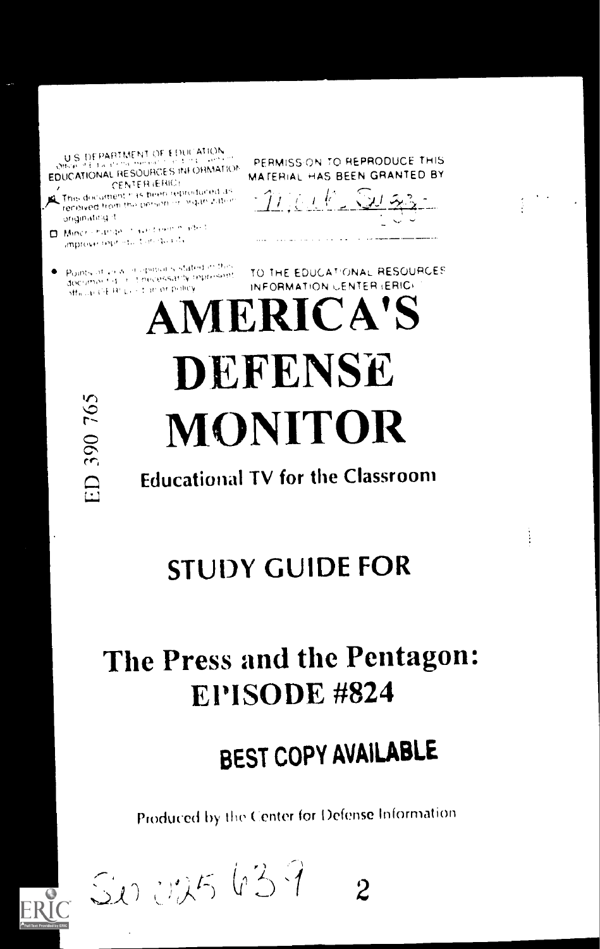U.S. DEPARTMENT OF EDUCATION EDUCATIONAL RESOURCES INFORMATION

CENTER (ERIC) This document has been reproduced as received from the person in linguis zation originating it

D. Mindrichamae, Insectione march improve reproduction quality

: Points of view in opinions stated in this<br>declimant direct becessarily represent<br>- Micure CERCL - Con of policy

PERMISSION TO REPRODUCE THIS MATERIAL HAS BEEN GRANTED BY

 $T(1)$  of  $F$  Sugar

TO THE EDUCATIONAL RESOURCES INFORMATION CENTER (ERIC)

**AMERICA'S DEFENSE MONITOR** 

**Educational TV for the Classroom** 

# **STUDY GUIDE FOR**

# The Press and the Pentagon: EPISODE #824

# BEST COPY AVAILABLE

Produced by the Center for Defense Information

ERIC SUNUX5 639  $\overline{2}$ 

ED 390 765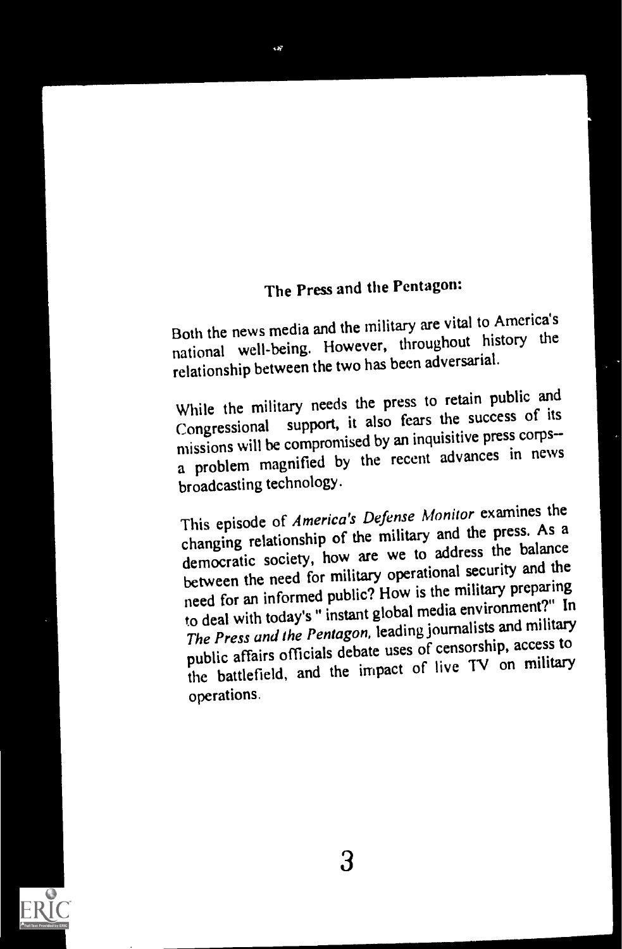## The Press and the Pentagon:

Both the news media and the military are vital to America's national well-being. However, throughout history the relationship between the two has been adversarial.

While the military needs the press to retain public and Congressional support, it also fears the success of its missions will be compromised by an inquisitive press corps a problem magnified by the recent advances in news broadcasting technology.

This episode of America's Defense Monitor examines the changing relationship of the military and the press. As a democratic society, how are we to address the balance between the need for military operational security and the need for an informed public? How is the military preparing to deal with today's " instant global media environment?" In The Press and the Pentagon, leading journalists and military public affairs officials debate uses of censorship, access to the battlefield, and the impact of live TV on military operations.

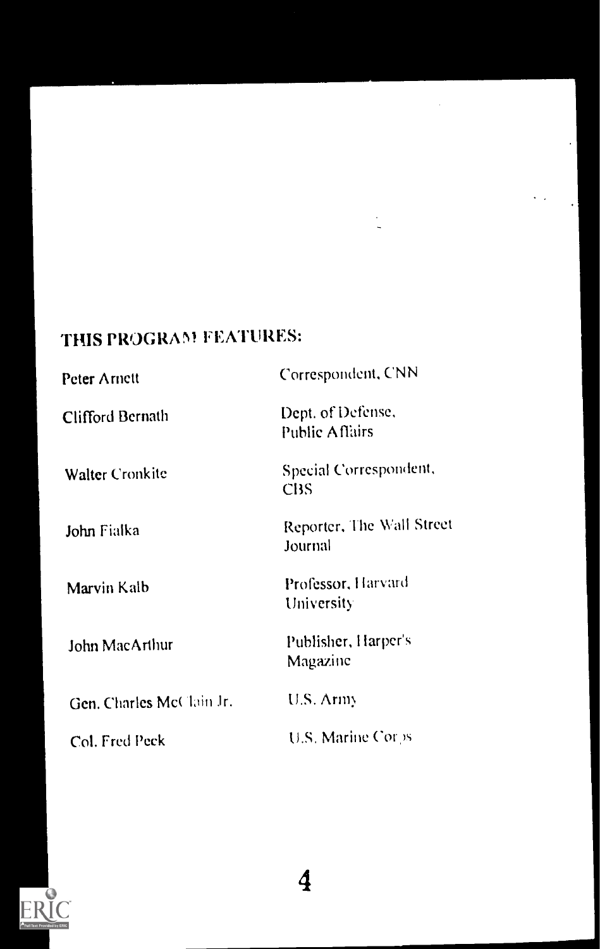## THIS PROGRAM FEATURES:

| Peter Arnett             | Correspondent, CNN                         |
|--------------------------|--------------------------------------------|
| Clifford Bernath         | Dept. of Defense,<br><b>Public Affairs</b> |
| <b>Walter Cronkite</b>   | Special Correspondent,<br><b>CBS</b>       |
| John Fialka              | Reporter, The Wall Street<br>Journal       |
| Marvin Kalb              | Professor, Harvard<br>University           |
| John MacArthur           | Publisher, Harper's<br>Magazine            |
| Gen. Charles McClain Jr. | U.S. Army                                  |
| Col. Fred Peck           | U.S. Marine Corps                          |

 $\ddotsc$ 

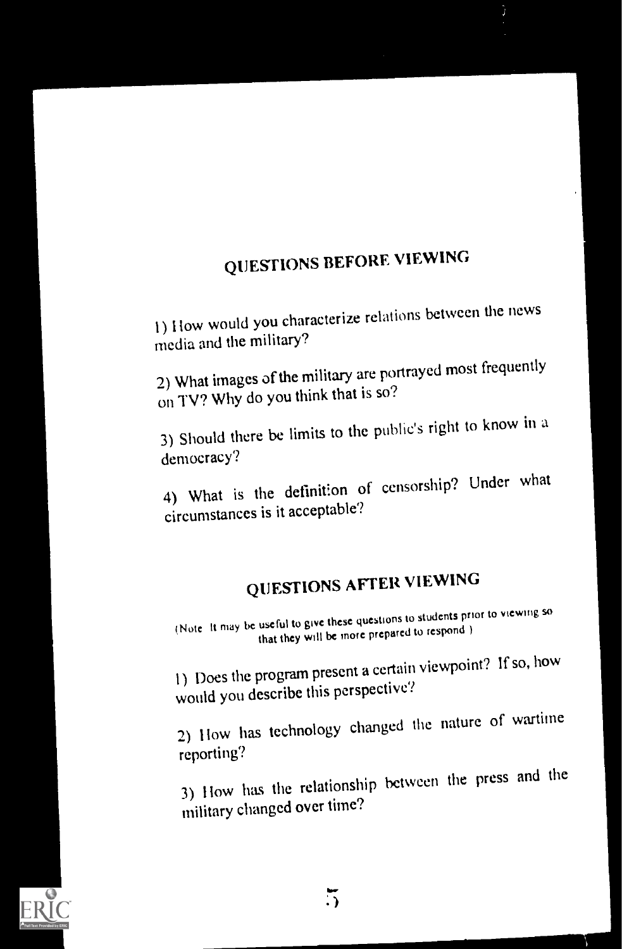## QUESTIONS BEFORE VIEWING

) flow would you characterize relations between the news media and the military?

2) What images of the military are portrayed most frequently on TV? Why do you think that is so?

3) Should there be limits to the public's right to know in a democracy'?

4) What is the definition of censorship? Under what circumstances is it acceptable'?

# QUESTIONS AFTER VIEWING

(Note It may he useful to give these questions to students prior to viewing so that they will be more prepared to respond )

1) Does the program present a certain viewpoint? If so, how would you describe this perspective?

2) How has technology changed the nature of wartime reporting?

3) How has the relationship between the press and the military changed over time?

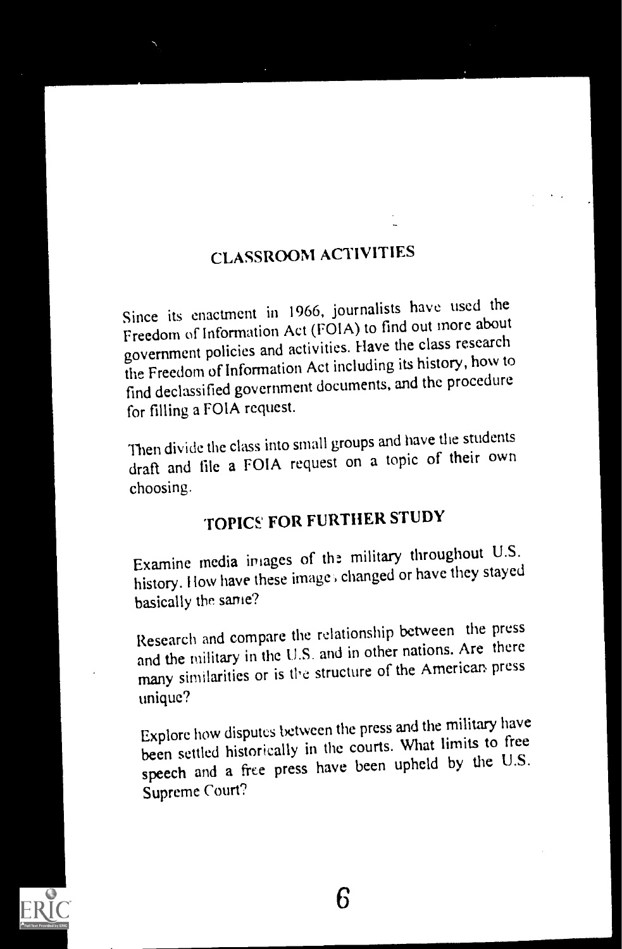### CLASSROOM ACTIVITIES

Since its enactment in 1966, journalists have used the Freedom of Information Act (FOIA) to find out more about government policies and activities. Have the class research the Freedom of Information Act including its history, how to find declassified government documents, and the procedure for filling a FOIA request.

Then divide the class into small groups and have the students draft and file a FOIA request on a topic of their own choosing.

## TOPICS FOR FURTHER STUDY

Examine media images of the military throughout U.S. history. How have these images changed or have they stayed basically the same?

Research and compare the relationship between the press and the military in the U.S. and in other nations. Are there many similarities or is the structure of the American press unique?

Explore how disputes between the press and the military have been settled historically in the courts. What limits to free speech and a free press have been upheld by the U.S. Supreme Court?

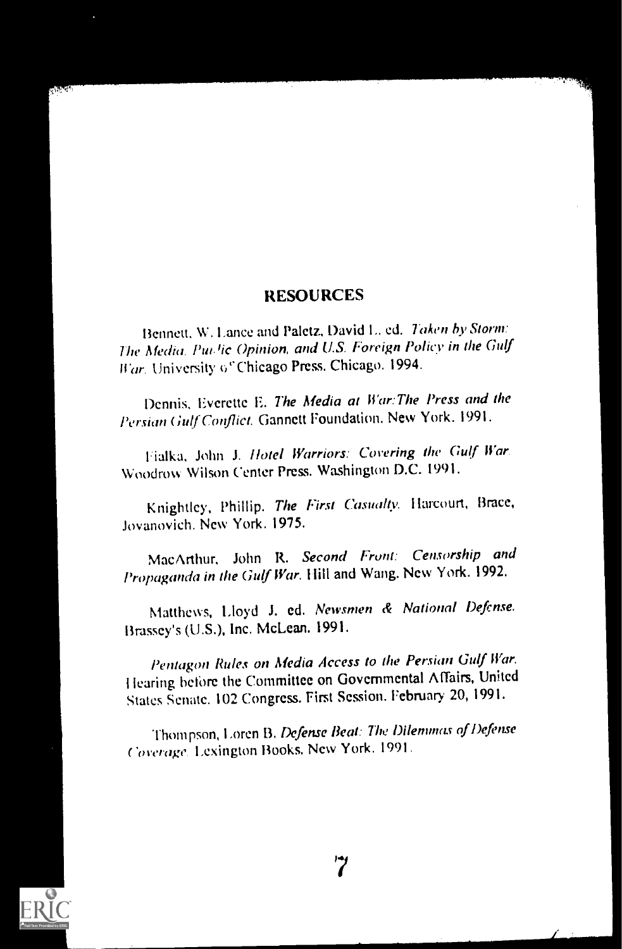#### RESOURCES

Bennett, W. Lance and Paletz, David L. ed. Taken by Storm: The Media, Pur lic Opinion, and U.S. Foreign Policy in the Gulf War. University of Chicago Press. Chicago. 1994.

Dennis. Everette E. The Media at War: The Press and the Persian Gulf Conflict. Gannett Foundation. New York. 1991.

Fialka, John J. Hotel Warriors: Covering the Gulf War, Woodrow Wilson Center Press. Washington D.C. 1991.

Knightley, Phillip. The First Casualty. Harcourt, Brace, Jovanovich. New York. 1975.

MacArthur, John R. Second Front: Censorship and Propaganda in the Gulf War. Hill and Wang. New York. 1992.

Matthews, Lloyd J. ed. Newsmen & National Defense. Brassey's (U.S.), Inc. McLean. 1991.

Pentagon Rules on Media Access to the Persian Gulf War. I tearing before the Committee on Governmental AfTairs, United States Senate. 102 Congress. First Session. February 20, 1991.

Thompson, Loren B. Defense Beat: The Dilemmas of Defense Coverage. Lexington Books. New York. 1991.

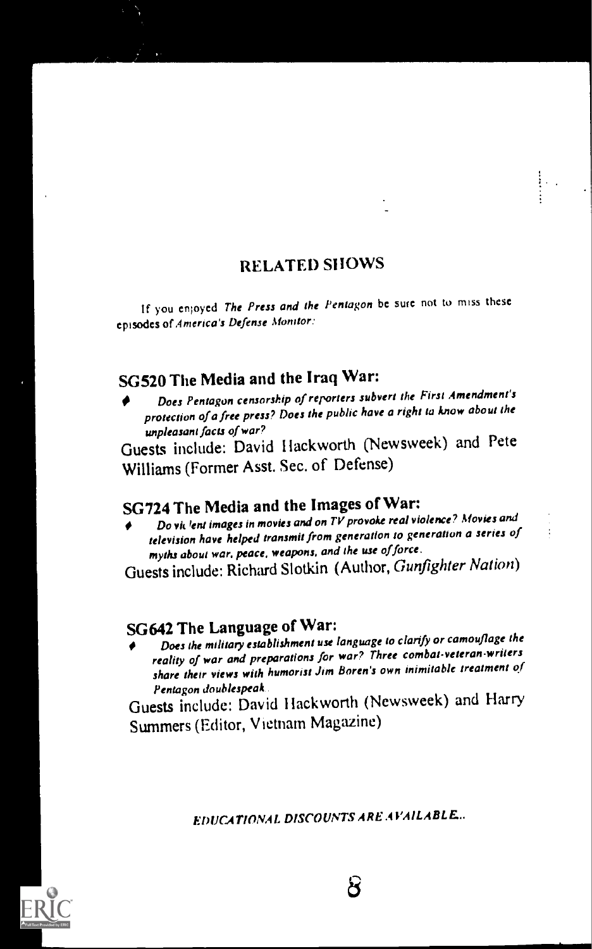### RELATED SHOWS

If you enjoyed The Press and the Pentagon be sure not to miss these episodes of America's Defense Monitor..

## SG520 The Media and the Iraq War:

Does Pentagon censorship of reporters subvert the First Amendment's protection of a free press? Does the public have a right ta know about the unpleasant facts of war?

unpleasant facts of war?<br>Guests include: David Hackworth (Newsweek) and Pete Williams (Former Asst. Sec. of Defense)

## SG724 The Media and the Images of War:

Do viclent images in movies and on TV provoke real violence? Movies and television have helped transmit from generation to generation a series of myths about war, peace, weapons, and the use of force.

Guests include: Richard Slotkin (Author, Gunfighter Nation)

### SG642 The Language of War:

Does the military establishment use language to clarify or camouflage the reality of war and preparations for war? Three cornbat-veteran.writers share their views with humorist Jim Boren's own inimitable treatment of<br>Pentagon doublespeak.

Pentagon doublespeak.<br>Guests include: David Hackworth (Newsweek) and Harry Summers (Editor, Vietnam Magazine)

EDUCATIONAL DISCOUNTS ARE AVAILABLE

පි